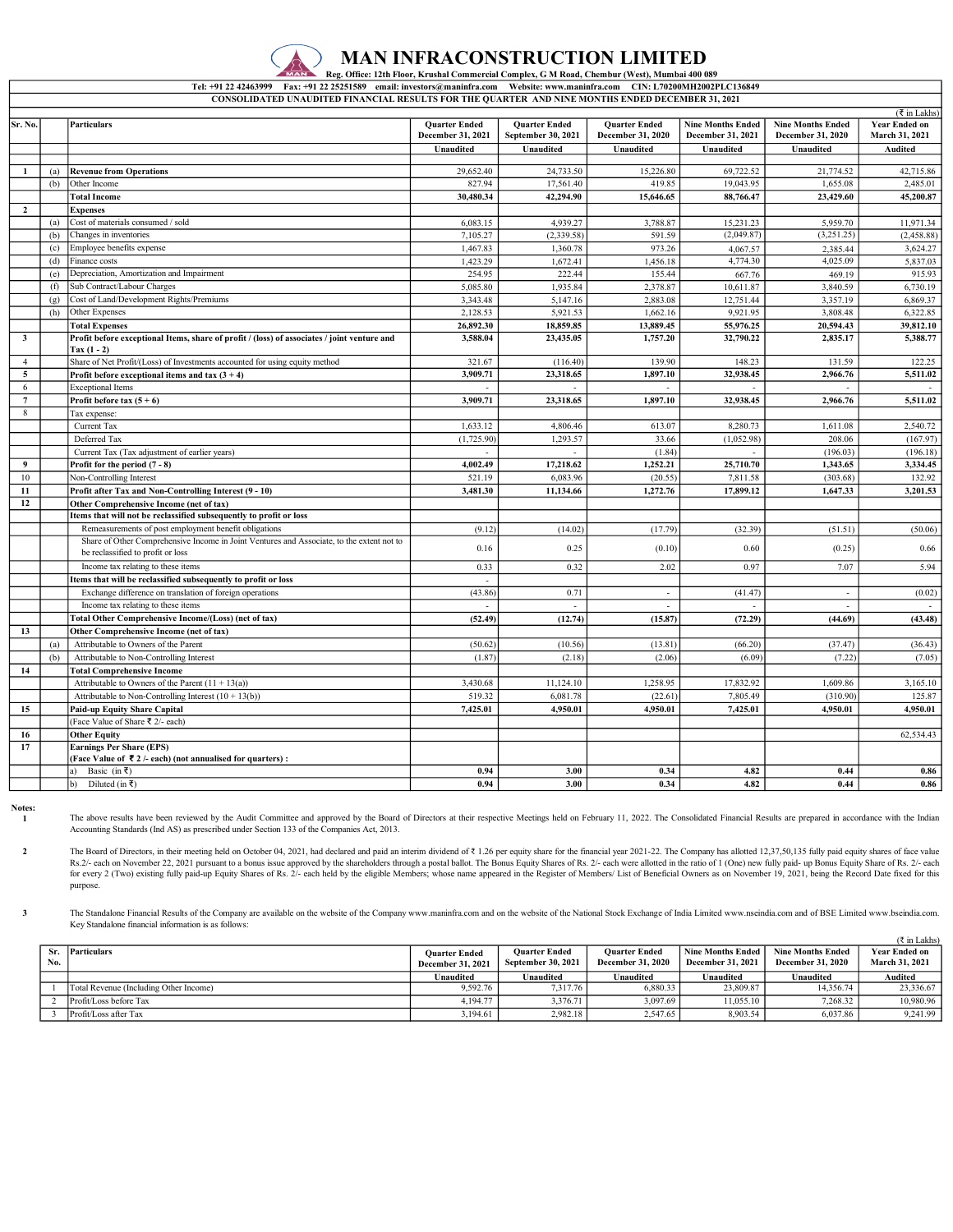

CONSOLIDATED UNAUDITED FINANCIAL RESULTS FOR THE QUARTER AND NINE MONTHS ENDED DECEMBER 31, 2021 Fax: +91 22 25251589 email: investors@maninfra.com Website: www.maninfra.com CIN: L70200MH2002PLC136849

|                 |     |                                                                                                                                |                                           | <b>Ouarter Ended</b> | <b>Quarter Ended</b> | <b>Nine Months Ended</b> | <b>Nine Months Ended</b> | (₹ in Lakhs)<br><b>Year Ended on</b> |
|-----------------|-----|--------------------------------------------------------------------------------------------------------------------------------|-------------------------------------------|----------------------|----------------------|--------------------------|--------------------------|--------------------------------------|
| Sr. No.         |     | <b>Particulars</b>                                                                                                             | <b>Quarter Ended</b><br>December 31, 2021 | September 30, 2021   | December 31, 2020    | December 31, 2021        | December 31, 2020        | March 31, 2021                       |
|                 |     |                                                                                                                                | Unaudited                                 | Unaudited            | Unaudited            | Unaudited                | Unaudited                | Audited                              |
|                 |     |                                                                                                                                |                                           |                      |                      |                          |                          |                                      |
| $\mathbf{1}$    | (a) | <b>Revenue from Operations</b>                                                                                                 | 29,652.40                                 | 24,733.50            | 15,226.80            | 69,722.52                | 21,774.52                | 42,715.86                            |
|                 | (b) | Other Income                                                                                                                   | 827.94                                    | 17.561.40            | 419.85               | 19.043.95                | 1,655.08                 | 2,485.01                             |
|                 |     | <b>Total Income</b>                                                                                                            | 30,480.34                                 | 42,294.90            | 15,646.65            | 88,766.47                | 23,429.60                | 45,200.87                            |
| $\mathbf{2}$    |     | <b>Expenses</b>                                                                                                                |                                           |                      |                      |                          |                          |                                      |
|                 | (a) | Cost of materials consumed / sold                                                                                              | 6,083.15                                  | 4,939.27             | 3,788.87             | 15,231.23                | 5,959.70                 | 11,971.34                            |
|                 | (b) | Changes in inventories                                                                                                         | 7,105.27                                  | (2,339.58)           | 591.59               | (2,049.87)               | (3,251.25)               | (2,458.88)                           |
|                 | (c) | Employee benefits expense                                                                                                      | 1,467.83                                  | 1,360.78             | 973.26               | 4,067.57                 | 2,385.44                 | 3,624.27                             |
|                 | (d) | Finance costs                                                                                                                  | 1,423.29                                  | 1,672.41             | 1,456.18             | 4,774.30                 | 4,025.09                 | 5,837.03                             |
|                 | (e) | Depreciation, Amortization and Impairment                                                                                      | 254.95                                    | 222.44               | 155.44               | 667.76                   | 469.19                   | 915.93                               |
|                 | (f) | Sub Contract/Labour Charges                                                                                                    | 5,085.80                                  | 1,935.84             | 2,378.87             | 10,611.87                | 3,840.59                 | 6,730.19                             |
|                 | (g) | Cost of Land/Development Rights/Premiums                                                                                       | 3,343.48                                  | 5,147.16             | 2,883.08             | 12,751.44                | 3,357.19                 | 6,869.37                             |
|                 | (h) | Other Expenses                                                                                                                 | 2,128.53                                  | 5,921.53             | 1,662.16             | 9,921.95                 | 3,808.48                 | 6,322.85                             |
|                 |     | <b>Total Expenses</b>                                                                                                          | 26,892.30                                 | 18,859.85            | 13,889.45            | 55,976.25                | 20,594.43                | 39,812.10                            |
| $\mathbf{3}$    |     | Profit before exceptional Items, share of profit / (loss) of associates / joint venture and<br>Tax $(1 - 2)$                   | 3,588.04                                  | 23,435.05            | 1,757.20             | 32,790.22                | 2,835.17                 | 5,388.77                             |
| $\overline{4}$  |     | Share of Net Profit/(Loss) of Investments accounted for using equity method                                                    | 321.67                                    | (116.40)             | 139.90               | 148.23                   | 131.59                   | 122.25                               |
| 5               |     | Profit before exceptional items and tax $(3 + 4)$                                                                              | 3,909.71                                  | 23,318.65            | 1,897.10             | 32,938.45                | 2,966.76                 | 5,511.02                             |
| 6               |     | <b>Exceptional Items</b>                                                                                                       |                                           |                      |                      |                          |                          |                                      |
| $7\phantom{.0}$ |     | Profit before tax $(5 + 6)$                                                                                                    | 3,909.71                                  | 23,318.65            | 1,897.10             | 32,938.45                | 2,966.76                 | 5,511.02                             |
| 8               |     | Tax expense:                                                                                                                   |                                           |                      |                      |                          |                          |                                      |
|                 |     | Current Tax                                                                                                                    | 1,633.12                                  | 4,806.46             | 613.07               | 8,280.73                 | 1,611.08                 | 2,540.72                             |
|                 |     | Deferred Tax                                                                                                                   | (1,725.90)                                | 1,293.57             | 33.66                | (1,052.98)               | 208.06                   | (167.97)                             |
|                 |     | Current Tax (Tax adjustment of earlier years)                                                                                  | ÷.                                        | $\sim$               | (1.84)               |                          | (196.03)                 | (196.18)                             |
| 9               |     | Profit for the period (7 - 8)                                                                                                  | 4,002.49                                  | 17,218.62            | 1,252.21             | 25,710.70                | 1,343.65                 | 3,334.45                             |
| 10              |     | Non-Controlling Interest                                                                                                       | 521.19                                    | 6,083.96             | (20.55)              | 7,811.58                 | (303.68)                 | 132.92                               |
| 11              |     | Profit after Tax and Non-Controlling Interest (9 - 10)                                                                         | 3,481.30                                  | 11,134.66            | 1,272.76             | 17,899.12                | 1,647.33                 | 3,201.53                             |
| 12              |     | Other Comprehensive Income (net of tax)                                                                                        |                                           |                      |                      |                          |                          |                                      |
|                 |     | Items that will not be reclassified subsequently to profit or loss                                                             |                                           |                      |                      |                          |                          |                                      |
|                 |     | Remeasurements of post employment benefit obligations                                                                          | (9.12)                                    | (14.02)              | (17.79)              | (32.39)                  | (51.51)                  | (50.06)                              |
|                 |     | Share of Other Comprehensive Income in Joint Ventures and Associate, to the extent not to<br>be reclassified to profit or loss | 0.16                                      | 0.25                 | (0.10)               | 0.60                     | (0.25)                   | 0.66                                 |
|                 |     | Income tax relating to these items                                                                                             | 0.33                                      | 0.32                 | 2.02                 | 0.97                     | 7.07                     | 5.94                                 |
|                 |     | Items that will be reclassified subsequently to profit or loss                                                                 |                                           |                      |                      |                          |                          |                                      |
|                 |     | Exchange difference on translation of foreign operations                                                                       | (43.86)                                   | 0.71                 | $\sim$               | (41.47)                  |                          | (0.02)                               |
|                 |     | Income tax relating to these items                                                                                             | $\sim$                                    | $\sim$               | $\sim$               |                          | $\sim$                   | $\sim$                               |
|                 |     | Total Other Comprehensive Income/(Loss) (net of tax)                                                                           | (52.49)                                   | (12.74)              | (15.87)              | (72.29)                  | (44.69)                  | (43.48)                              |
| 13              |     | Other Comprehensive Income (net of tax)                                                                                        |                                           |                      |                      |                          |                          |                                      |
|                 | (a) | Attributable to Owners of the Parent                                                                                           | (50.62)                                   | (10.56)              | (13.81)              | (66.20)                  | (37.47)                  | (36.43)                              |
|                 | (b) | Attributable to Non-Controlling Interest                                                                                       | (1.87)                                    | (2.18)               | (2.06)               | (6.09)                   | (7.22)                   | (7.05)                               |
| 14              |     | <b>Total Comprehensive Income</b>                                                                                              |                                           |                      |                      |                          |                          |                                      |
|                 |     | Attributable to Owners of the Parent $(11 + 13(a))$                                                                            | 3,430.68                                  | 11,124.10            | 1,258.95             | 17,832.92                | 1,609.86                 | 3,165.10                             |
|                 |     | Attributable to Non-Controlling Interest $(10 + 13(b))$                                                                        | 519.32                                    | 6,081.78             | (22.61)              | 7,805.49                 | (310.90)                 | 125.87                               |
| 15              |     | <b>Paid-up Equity Share Capital</b>                                                                                            | 7,425.01                                  | 4,950.01             | 4,950.01             | 7,425.01                 | 4,950.01                 | 4.950.01                             |
|                 |     | (Face Value of Share ₹ 2/- each)                                                                                               |                                           |                      |                      |                          |                          |                                      |
| 16              |     | <b>Other Equity</b>                                                                                                            |                                           |                      |                      |                          |                          | 62,534.43                            |
| 17              |     | <b>Earnings Per Share (EPS)</b><br>(Face Value of ₹2/- each) (not annualised for quarters) :                                   |                                           |                      |                      |                          |                          |                                      |
|                 |     | Basic (in ₹)<br>a)                                                                                                             | 0.94                                      | 3.00                 | 0.34                 | 4.82                     | 0.44                     | 0.86                                 |
|                 |     | Diluted (in ₹)<br>b)                                                                                                           | 0.94                                      | 3.00                 | 0.34                 | 4.82                     | 0.44                     | 0.86                                 |
|                 |     |                                                                                                                                |                                           |                      |                      |                          |                          |                                      |

Notes: 1

The above results have been reviewed by the Audit Committee and approved by the Board of Directors at their respective Meetings held on February 11, 2022. The Consolidated Financial Results are prepared in accordance with Accounting Standards (Ind AS) as prescribed under Section 133 of the Companies Act, 2013.

2 The Board of Directors, in their meeting held on October 04, 2021, had declared and paid an interim dividend of ₹1.26 per equity share for the financial year 2021-22. The Company has allotted 12,37,50,135 fully paid equity Rs.2/- each on November 22, 2021 pursuant to a bonus issue approved by the shareholders through a postal ballot. The Bonus Equity Shares of Rs. 2/- each were allotted in the ratio of 1 (One) new fully paid- up Bonus Equity for every 2 (Two) existing fully paid-up Equity Shares of Rs. 2/- each held by the eligible Members; whose name appeared in the Register of Members/ List of Beneficial Owners as on November 19, 2021, being the Record Date purpose.

3 The Standalone Financial Results of the Company are available on the website of the Company www.maninfra.com and on the website of the National Stock Exchange of India Limited www.nseindia.com and of BSE Limited www.bseind Key Standalone financial information is as follows:

|     |                                        |                          |                      |                          |                          |                          | $(3 \in \mathbb{Z}^2)$ in Lakhs) |
|-----|----------------------------------------|--------------------------|----------------------|--------------------------|--------------------------|--------------------------|----------------------------------|
|     | Sr. Particulars                        | <b>Ouarter Ended</b>     | <b>Ouarter Ended</b> | <b>Ouarter Ended</b>     | Nine Months Ended        | <b>Nine Months Ended</b> | <b>Year Ended on</b>             |
| No. |                                        | <b>December 31, 2021</b> | September 30, 2021   | <b>December 31, 2020</b> | <b>December 31, 2021</b> | <b>December 31, 2020</b> | <b>March 31, 2021</b>            |
|     |                                        | Unaudited                | Jnaudited            | Unaudited                | Unaudited                | Unaudited                | Audited                          |
|     | Total Revenue (Including Other Income) | 9.592.76                 | 7.317.76             | 6.880.33                 | 23,809.87                | 14.356.74                | 23,336.67                        |
|     | Profit/Loss before Tax                 | 4,194.77                 | 3.376.71             | 3,097.69                 | 11.055.10                | 7,268,32                 | 10.980.96                        |
|     | Profit/Loss after Tax                  | 3.194.61                 | 2.982.18             | 2.547.65                 | 8.903.54                 | 6.037.86                 | 9.241.99                         |